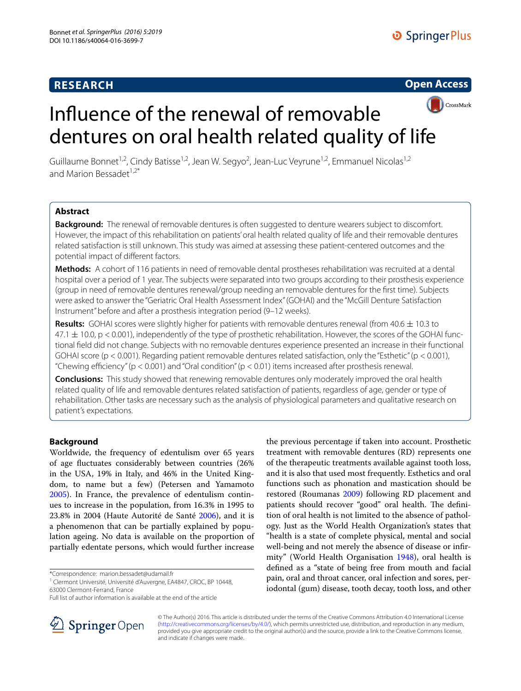# **RESEARCH**





# Influence of the renewal of removable dentures on oral health related quality of life

Guillaume Bonnet<sup>1,2</sup>, Cindy Batisse<sup>1,2</sup>, Jean W. Segyo<sup>2</sup>, Jean-Luc Veyrune<sup>1,2</sup>, Emmanuel Nicolas<sup>1,2</sup> and Marion Bessadet $1.2$ <sup>\*</sup>

# **Abstract**

**Background:** The renewal of removable dentures is often suggested to denture wearers subject to discomfort. However, the impact of this rehabilitation on patients' oral health related quality of life and their removable dentures related satisfaction is still unknown. This study was aimed at assessing these patient-centered outcomes and the potential impact of different factors.

**Methods:** A cohort of 116 patients in need of removable dental prostheses rehabilitation was recruited at a dental hospital over a period of 1 year. The subjects were separated into two groups according to their prosthesis experience (group in need of removable dentures renewal/group needing an removable dentures for the first time). Subjects were asked to answer the "Geriatric Oral Health Assessment Index" (GOHAI) and the "McGill Denture Satisfaction Instrument" before and after a prosthesis integration period (9–12 weeks).

**Results:** GOHAI scores were slightly higher for patients with removable dentures renewal (from 40.6 ± 10.3 to  $47.1 \pm 10.0$ , p < 0.001), independently of the type of prosthetic rehabilitation. However, the scores of the GOHAI functional field did not change. Subjects with no removable dentures experience presented an increase in their functional GOHAI score (p < 0.001). Regarding patient removable dentures related satisfaction, only the "Esthetic" (p < 0.001), "Chewing efficiency" ( $p < 0.001$ ) and "Oral condition" ( $p < 0.01$ ) items increased after prosthesis renewal.

**Conclusions:** This study showed that renewing removable dentures only moderately improved the oral health related quality of life and removable dentures related satisfaction of patients, regardless of age, gender or type of rehabilitation. Other tasks are necessary such as the analysis of physiological parameters and qualitative research on patient's expectations.

# **Background**

Worldwide, the frequency of edentulism over 65 years of age fluctuates considerably between countries (26% in the USA, 19% in Italy, and 46% in the United Kingdom, to name but a few) (Petersen and Yamamoto [2005](#page-7-0)). In France, the prevalence of edentulism continues to increase in the population, from 16.3% in 1995 to 23.8% in 2004 (Haute Autorité de Santé [2006](#page-6-0)), and it is a phenomenon that can be partially explained by population ageing. No data is available on the proportion of partially edentate persons, which would further increase

\*Correspondence: marion.bessadet@udamail.fr

<sup>1</sup> Clermont Université, Université d'Auvergne, EA4847, CROC, BP 10448, 63000 Clermont‑Ferrand, France





© The Author(s) 2016. This article is distributed under the terms of the Creative Commons Attribution 4.0 International License [\(http://creativecommons.org/licenses/by/4.0/\)](http://creativecommons.org/licenses/by/4.0/), which permits unrestricted use, distribution, and reproduction in any medium, provided you give appropriate credit to the original author(s) and the source, provide a link to the Creative Commons license, and indicate if changes were made.

Full list of author information is available at the end of the article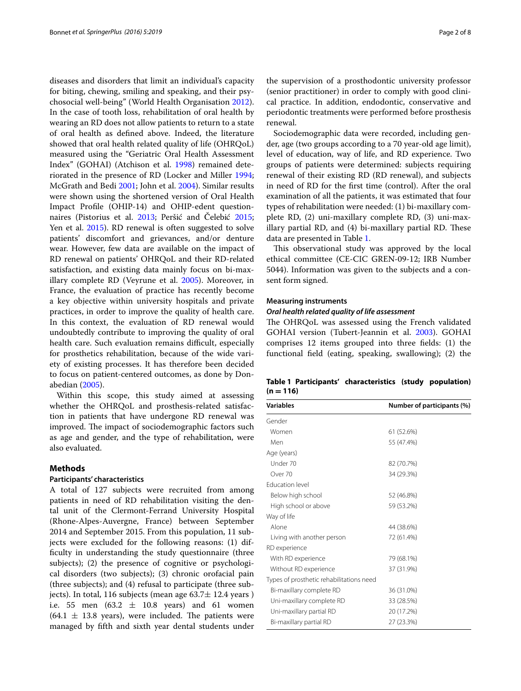diseases and disorders that limit an individual's capacity for biting, chewing, smiling and speaking, and their psychosocial well-being" (World Health Organisation [2012](#page-7-3)). In the case of tooth loss, rehabilitation of oral health by wearing an RD does not allow patients to return to a state of oral health as defined above. Indeed, the literature showed that oral health related quality of life (OHRQoL) measured using the "Geriatric Oral Health Assessment Index" (GOHAI) (Atchison et al. [1998\)](#page-6-1) remained deteriorated in the presence of RD (Locker and Miller [1994](#page-6-2); McGrath and Bedi [2001](#page-6-3); John et al. [2004\)](#page-6-4). Similar results were shown using the shortened version of Oral Health Impact Profile (OHIP-14) and OHIP-edent questionnaires (Pistorius et al. [2013](#page-7-4); Peršić and Čelebić [2015](#page-7-5); Yen et al. [2015\)](#page-7-6). RD renewal is often suggested to solve patients' discomfort and grievances, and/or denture wear. However, few data are available on the impact of RD renewal on patients' OHRQoL and their RD-related satisfaction, and existing data mainly focus on bi-maxillary complete RD (Veyrune et al. [2005](#page-7-7)). Moreover, in France, the evaluation of practice has recently become a key objective within university hospitals and private practices, in order to improve the quality of health care. In this context, the evaluation of RD renewal would undoubtedly contribute to improving the quality of oral health care. Such evaluation remains difficult, especially for prosthetics rehabilitation, because of the wide variety of existing processes. It has therefore been decided to focus on patient-centered outcomes, as done by Donabedian [\(2005](#page-6-5)).

Within this scope, this study aimed at assessing whether the OHRQoL and prosthesis-related satisfaction in patients that have undergone RD renewal was improved. The impact of sociodemographic factors such as age and gender, and the type of rehabilitation, were also evaluated.

## **Methods**

## **Participants' characteristics**

A total of 127 subjects were recruited from among patients in need of RD rehabilitation visiting the dental unit of the Clermont-Ferrand University Hospital (Rhone-Alpes-Auvergne, France) between September 2014 and September 2015. From this population, 11 subjects were excluded for the following reasons: (1) difficulty in understanding the study questionnaire (three subjects); (2) the presence of cognitive or psychological disorders (two subjects); (3) chronic orofacial pain (three subjects); and (4) refusal to participate (three subjects). In total, 116 subjects (mean age  $63.7 \pm 12.4$  years) i.e. 55 men  $(63.2 \pm 10.8 \text{ years})$  and 61 women  $(64.1 \pm 13.8 \text{ years})$ , were included. The patients were managed by fifth and sixth year dental students under

the supervision of a prosthodontic university professor (senior practitioner) in order to comply with good clinical practice. In addition, endodontic, conservative and periodontic treatments were performed before prosthesis renewal.

Sociodemographic data were recorded, including gender, age (two groups according to a 70 year-old age limit), level of education, way of life, and RD experience. Two groups of patients were determined: subjects requiring renewal of their existing RD (RD renewal), and subjects in need of RD for the first time (control). After the oral examination of all the patients, it was estimated that four types of rehabilitation were needed: (1) bi-maxillary complete RD, (2) uni-maxillary complete RD, (3) uni-maxillary partial RD, and (4) bi-maxillary partial RD. These data are presented in Table [1.](#page-1-0)

This observational study was approved by the local ethical committee (CE-CIC GREN-09-12; IRB Number 5044). Information was given to the subjects and a consent form signed.

#### **Measuring instruments**

#### *Oral health related quality of life assessment*

The OHRQoL was assessed using the French validated GOHAI version (Tubert-Jeannin et al. [2003\)](#page-7-8). GOHAI comprises 12 items grouped into three fields: (1) the functional field (eating, speaking, swallowing); (2) the

<span id="page-1-0"></span>

| Table 1 Participants' characteristics (study population) |  |  |
|----------------------------------------------------------|--|--|
| $(n = 116)$                                              |  |  |

| <b>Variables</b>                         | Number of participants (%) |  |  |
|------------------------------------------|----------------------------|--|--|
| Gender                                   |                            |  |  |
| Women                                    | 61 (52.6%)                 |  |  |
| Men                                      | 55 (47.4%)                 |  |  |
| Age (years)                              |                            |  |  |
| Under 70                                 | 82 (70.7%)                 |  |  |
| Over 70                                  | 34 (29.3%)                 |  |  |
| <b>Education level</b>                   |                            |  |  |
| Below high school                        | 52 (46.8%)                 |  |  |
| High school or above                     | 59 (53.2%)                 |  |  |
| Way of life                              |                            |  |  |
| Alone                                    | 44 (38.6%)                 |  |  |
| Living with another person               | 72 (61.4%)                 |  |  |
| RD experience                            |                            |  |  |
| With RD experience                       | 79 (68.1%)                 |  |  |
| Without RD experience                    | 37 (31.9%)                 |  |  |
| Types of prosthetic rehabilitations need |                            |  |  |
| Bi-maxillary complete RD                 | 36 (31.0%)                 |  |  |
| Uni-maxillary complete RD                | 33 (28.5%)                 |  |  |
| Uni-maxillary partial RD                 | 20 (17.2%)                 |  |  |
| Bi-maxillary partial RD                  | 27 (23.3%)                 |  |  |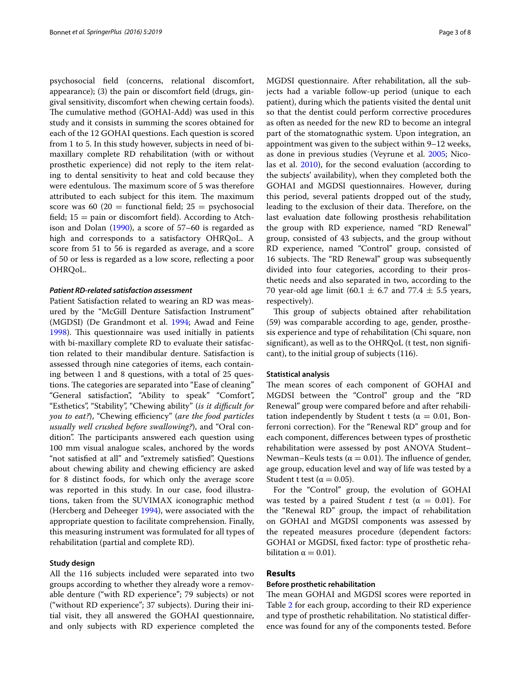psychosocial field (concerns, relational discomfort, appearance); (3) the pain or discomfort field (drugs, gingival sensitivity, discomfort when chewing certain foods). The cumulative method (GOHAI-Add) was used in this study and it consists in summing the scores obtained for each of the 12 GOHAI questions. Each question is scored from 1 to 5. In this study however, subjects in need of bimaxillary complete RD rehabilitation (with or without prosthetic experience) did not reply to the item relating to dental sensitivity to heat and cold because they were edentulous. The maximum score of 5 was therefore attributed to each subject for this item. The maximum score was 60 (20 = functional field;  $25 =$  psychosocial field;  $15 =$  pain or discomfort field). According to Atchison and Dolan [\(1990](#page-6-6)), a score of 57–60 is regarded as high and corresponds to a satisfactory OHRQoL. A score from 51 to 56 is regarded as average, and a score of 50 or less is regarded as a low score, reflecting a poor OHRQoL.

## *Patient RD‑related satisfaction assessment*

Patient Satisfaction related to wearing an RD was measured by the "McGill Denture Satisfaction Instrument" (MGDSI) (De Grandmont et al. [1994;](#page-6-7) Awad and Feine [1998](#page-6-8)). This questionnaire was used initially in patients with bi-maxillary complete RD to evaluate their satisfaction related to their mandibular denture. Satisfaction is assessed through nine categories of items, each containing between 1 and 8 questions, with a total of 25 questions. The categories are separated into "Ease of cleaning" "General satisfaction", "Ability to speak" "Comfort", "Esthetics", "Stability", "Chewing ability" (*is it difficult for you to eat?*), "Chewing efficiency" (*are the food particles usually well crushed before swallowing?*), and "Oral condition". The participants answered each question using 100 mm visual analogue scales, anchored by the words "not satisfied at all" and "extremely satisfied". Questions about chewing ability and chewing efficiency are asked for 8 distinct foods, for which only the average score was reported in this study. In our case, food illustrations, taken from the SUVIMAX iconographic method (Hercberg and Deheeger [1994\)](#page-6-9), were associated with the appropriate question to facilitate comprehension. Finally, this measuring instrument was formulated for all types of rehabilitation (partial and complete RD).

## **Study design**

All the 116 subjects included were separated into two groups according to whether they already wore a removable denture ("with RD experience"; 79 subjects) or not ("without RD experience"; 37 subjects). During their initial visit, they all answered the GOHAI questionnaire, and only subjects with RD experience completed the MGDSI questionnaire. After rehabilitation, all the subjects had a variable follow-up period (unique to each patient), during which the patients visited the dental unit so that the dentist could perform corrective procedures as often as needed for the new RD to become an integral part of the stomatognathic system. Upon integration, an appointment was given to the subject within 9–12 weeks, as done in previous studies (Veyrune et al. [2005](#page-7-7); Nicolas et al. [2010](#page-7-9)), for the second evaluation (according to the subjects' availability), when they completed both the GOHAI and MGDSI questionnaires. However, during this period, several patients dropped out of the study, leading to the exclusion of their data. Therefore, on the last evaluation date following prosthesis rehabilitation the group with RD experience, named "RD Renewal" group, consisted of 43 subjects, and the group without RD experience, named "Control" group, consisted of 16 subjects. The "RD Renewal" group was subsequently divided into four categories, according to their prosthetic needs and also separated in two, according to the 70 year-old age limit (60.1  $\pm$  6.7 and 77.4  $\pm$  5.5 years, respectively).

This group of subjects obtained after rehabilitation (59) was comparable according to age, gender, prosthesis experience and type of rehabilitation (Chi square, non significant), as well as to the OHRQoL (t test, non significant), to the initial group of subjects (116).

## **Statistical analysis**

The mean scores of each component of GOHAI and MGDSI between the "Control" group and the "RD Renewal" group were compared before and after rehabilitation independently by Student t tests ( $\alpha = 0.01$ , Bonferroni correction). For the "Renewal RD" group and for each component, differences between types of prosthetic rehabilitation were assessed by post ANOVA Student– Newman–Keuls tests ( $\alpha = 0.01$ ). The influence of gender, age group, education level and way of life was tested by a Student t test ( $\alpha = 0.05$ ).

For the "Control" group, the evolution of GOHAI was tested by a paired Student *t* test ( $\alpha = 0.01$ ). For the "Renewal RD" group, the impact of rehabilitation on GOHAI and MGDSI components was assessed by the repeated measures procedure (dependent factors: GOHAI or MGDSI, fixed factor: type of prosthetic rehabilitation  $\alpha = 0.01$ ).

# **Results**

## **Before prosthetic rehabilitation**

The mean GOHAI and MGDSI scores were reported in Table [2](#page-3-0) for each group, according to their RD experience and type of prosthetic rehabilitation. No statistical difference was found for any of the components tested. Before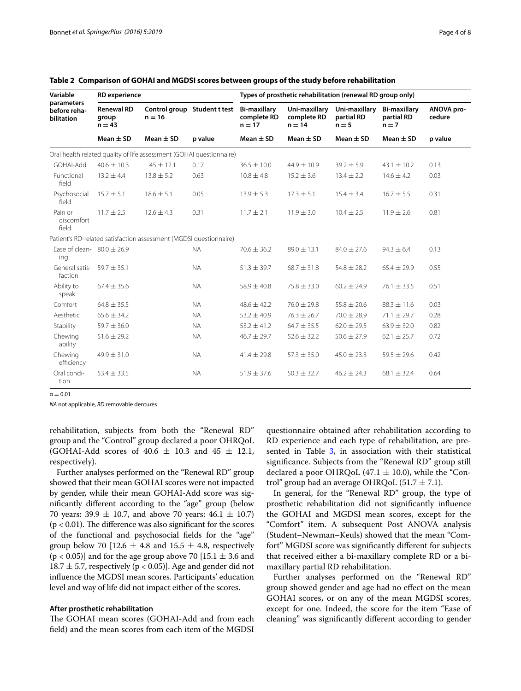| Variable<br>parameters<br>before reha-<br><b>bilitation</b> | <b>RD</b> experience                   |                                                                      |                              | Types of prosthetic rehabilitation (renewal RD group only) |                                          |                                        |                                              |                      |
|-------------------------------------------------------------|----------------------------------------|----------------------------------------------------------------------|------------------------------|------------------------------------------------------------|------------------------------------------|----------------------------------------|----------------------------------------------|----------------------|
|                                                             | <b>Renewal RD</b><br>group<br>$n = 43$ | $n = 16$                                                             | Control group Student t test | <b>Bi-maxillary</b><br>complete RD<br>$n = 17$             | Uni-maxillary<br>complete RD<br>$n = 14$ | Uni-maxillary<br>partial RD<br>$n = 5$ | <b>Bi-maxillary</b><br>partial RD<br>$n = 7$ | ANOVA pro-<br>cedure |
|                                                             | Mean $\pm$ SD                          | Mean $\pm$ SD                                                        | p value                      | Mean $\pm$ SD                                              | Mean $\pm$ SD                            | Mean $\pm$ SD                          | Mean $\pm$ SD                                | p value              |
|                                                             |                                        | Oral health related quality of life assessment (GOHAI questionnaire) |                              |                                                            |                                          |                                        |                                              |                      |
| GOHAI-Add                                                   | $40.6 \pm 10.3$                        | $45 \pm 12.1$                                                        | 0.17                         | $36.5 \pm 10.0$                                            | $44.9 \pm 10.9$                          | $39.2 \pm 5.9$                         | $43.1 \pm 10.2$                              | 0.13                 |
| Functional<br>field                                         | $13.2 \pm 4.4$                         | $13.8 \pm 5.2$                                                       | 0.63                         | $10.8 \pm 4.8$                                             | $15.2 \pm 3.6$                           | $13.4 \pm 2.2$                         | $14.6 \pm 4.2$                               | 0.03                 |
| Psychosocial<br>field                                       | $15.7 \pm 5.1$                         | $18.6 \pm 5.1$                                                       | 0.05                         | $13.9 \pm 5.3$                                             | $17.3 \pm 5.1$                           | $15.4 \pm 3.4$                         | $16.7 \pm 5.5$                               | 0.31                 |
| Pain or<br>discomfort<br>field                              | $11.7 \pm 2.5$                         | $12.6 \pm 4.3$                                                       | 0.31                         | $11.7 \pm 2.1$                                             | $11.9 \pm 3.0$                           | $10.4 \pm 2.5$                         | $11.9 \pm 2.6$                               | 0.81                 |
|                                                             |                                        | Patient's RD-related satisfaction assessment (MGDSI questionnaire)   |                              |                                                            |                                          |                                        |                                              |                      |
| Ease of clean- $80.0 \pm 26.9$<br>ing                       |                                        |                                                                      | <b>NA</b>                    | $70.6 \pm 36.2$                                            | $89.0 \pm 13.1$                          | $84.0 \pm 27.6$                        | $94.3 \pm 6.4$                               | 0.13                 |
| General satis-<br>faction                                   | $59.7 \pm 35.1$                        |                                                                      | <b>NA</b>                    | $51.3 \pm 39.7$                                            | $68.7 \pm 31.8$                          | $54.8 \pm 28.2$                        | $65.4 \pm 29.9$                              | 0.55                 |
| Ability to<br>speak                                         | $67.4 \pm 35.6$                        |                                                                      | <b>NA</b>                    | $58.9 \pm 40.8$                                            | $75.8 \pm 33.0$                          | $60.2 \pm 24.9$                        | $76.1 \pm 33.5$                              | 0.51                 |
| Comfort                                                     | $64.8 \pm 35.5$                        |                                                                      | <b>NA</b>                    | $48.6 \pm 42.2$                                            | $76.0 \pm 29.8$                          | $55.8 \pm 20.6$                        | $88.3 \pm 11.6$                              | 0.03                 |
| Aesthetic                                                   | $65.6 \pm 34.2$                        |                                                                      | <b>NA</b>                    | $53.2 \pm 40.9$                                            | $76.3 \pm 26.7$                          | $70.0 \pm 28.9$                        | $71.1 \pm 29.7$                              | 0.28                 |
| Stability                                                   | $59.7 \pm 36.0$                        |                                                                      | <b>NA</b>                    | $53.2 \pm 41.2$                                            | $64.7 \pm 35.5$                          | $62.0 \pm 29.5$                        | $63.9 \pm 32.0$                              | 0.82                 |
| Chewing<br>ability                                          | $51.6 \pm 29.2$                        |                                                                      | <b>NA</b>                    | $46.7 \pm 29.7$                                            | $52.6 \pm 32.2$                          | $50.6 \pm 27.9$                        | $62.1 \pm 25.7$                              | 0.72                 |
| Chewing<br>efficiency                                       | $49.9 \pm 31.0$                        |                                                                      | <b>NA</b>                    | $41.4 \pm 29.8$                                            | $57.3 \pm 35.0$                          | $45.0 \pm 23.3$                        | $59.5 \pm 29.6$                              | 0.42                 |
| Oral condi-<br>tion                                         | $53.4 \pm 33.5$                        |                                                                      | <b>NA</b>                    | $51.9 \pm 37.6$                                            | $50.3 \pm 32.7$                          | $46.2 \pm 24.3$                        | $68.1 \pm 32.4$                              | 0.64                 |

<span id="page-3-0"></span>**Table 2 Comparison of GOHAI and MGDSI scores between groups of the study before rehabilitation**

 $a - 0.01$ 

*NA* not applicable, *RD* removable dentures

rehabilitation, subjects from both the "Renewal RD" group and the "Control" group declared a poor OHRQoL (GOHAI-Add scores of  $40.6 \pm 10.3$  and  $45 \pm 12.1$ , respectively).

Further analyses performed on the "Renewal RD" group showed that their mean GOHAI scores were not impacted by gender, while their mean GOHAI-Add score was significantly different according to the "age" group (below 70 years:  $39.9 \pm 10.7$ , and above 70 years:  $46.1 \pm 10.7$ )  $(p < 0.01)$ . The difference was also significant for the scores of the functional and psychosocial fields for the "age" group below 70 [12.6  $\pm$  4.8 and 15.5  $\pm$  4.8, respectively  $(p < 0.05)$ ] and for the age group above 70 [15.1  $\pm$  3.6 and 18.7  $\pm$  5.7, respectively (p < 0.05)]. Age and gender did not influence the MGDSI mean scores. Participants' education level and way of life did not impact either of the scores.

#### **After prosthetic rehabilitation**

The GOHAI mean scores (GOHAI-Add and from each field) and the mean scores from each item of the MGDSI

questionnaire obtained after rehabilitation according to RD experience and each type of rehabilitation, are pre-sented in Table [3,](#page-4-0) in association with their statistical significance. Subjects from the "Renewal RD" group still declared a poor OHRQoL (47.1  $\pm$  10.0), while the "Control" group had an average OHRQoL  $(51.7 \pm 7.1)$ .

In general, for the "Renewal RD" group, the type of prosthetic rehabilitation did not significantly influence the GOHAI and MGDSI mean scores, except for the "Comfort" item. A subsequent Post ANOVA analysis (Student–Newman–Keuls) showed that the mean "Comfort" MGDSI score was significantly different for subjects that received either a bi-maxillary complete RD or a bimaxillary partial RD rehabilitation.

Further analyses performed on the "Renewal RD" group showed gender and age had no effect on the mean GOHAI scores, or on any of the mean MGDSI scores, except for one. Indeed, the score for the item "Ease of cleaning" was significantly different according to gender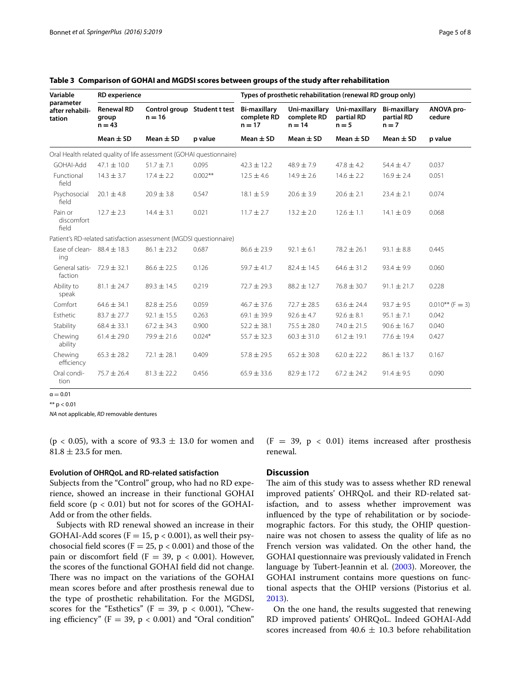| Variable<br>parameter<br>after rehabili-<br>tation | <b>RD</b> experience                   |                                                                      |                              | Types of prosthetic rehabilitation (renewal RD group only) |                                          |                                        |                                              |                      |
|----------------------------------------------------|----------------------------------------|----------------------------------------------------------------------|------------------------------|------------------------------------------------------------|------------------------------------------|----------------------------------------|----------------------------------------------|----------------------|
|                                                    | <b>Renewal RD</b><br>group<br>$n = 43$ | $n = 16$                                                             | Control group Student t test | <b>Bi-maxillary</b><br>complete RD<br>$n = 17$             | Uni-maxillary<br>complete RD<br>$n = 14$ | Uni-maxillary<br>partial RD<br>$n = 5$ | <b>Bi-maxillary</b><br>partial RD<br>$n = 7$ | ANOVA pro-<br>cedure |
|                                                    | Mean $\pm$ SD                          | Mean $\pm$ SD                                                        | p value                      | Mean $\pm$ SD                                              | Mean $\pm$ SD                            | Mean $\pm$ SD                          | Mean $\pm$ SD                                | p value              |
|                                                    |                                        | Oral Health related quality of life assessment (GOHAI questionnaire) |                              |                                                            |                                          |                                        |                                              |                      |
| GOHAI-Add                                          | $47.1 \pm 10.0$                        | $51.7 + 7.1$                                                         | 0.095                        | $42.3 \pm 12.2$                                            | $48.9 + 7.9$                             | $47.8 \pm 4.2$                         | $54.4 \pm 4.7$                               | 0.037                |
| Functional<br>field                                | $14.3 \pm 3.7$                         | $17.4 \pm 2.2$                                                       | $0.002**$                    | $12.5 \pm 4.6$                                             | $14.9 \pm 2.6$                           | $14.6 \pm 2.2$                         | $16.9 \pm 2.4$                               | 0.051                |
| Psychosocial<br>field                              | $20.1 \pm 4.8$                         | $20.9 \pm 3.8$                                                       | 0.547                        | $18.1 \pm 5.9$                                             | $20.6 \pm 3.9$                           | $20.6 \pm 2.1$                         | $23.4 \pm 2.1$                               | 0.074                |
| Pain or<br>discomfort<br>field                     | $12.7 \pm 2.3$                         | $14.4 \pm 3.1$                                                       | 0.021                        | $11.7 \pm 2.7$                                             | $13.2 \pm 2.0$                           | $12.6 \pm 1.1$                         | $14.1 \pm 0.9$                               | 0.068                |
|                                                    |                                        | Patient's RD-related satisfaction assessment (MGDSI questionnaire)   |                              |                                                            |                                          |                                        |                                              |                      |
| Ease of clean- $88.4 \pm 18.3$<br>ing              |                                        | $86.1 \pm 23.2$                                                      | 0.687                        | $86.6 \pm 23.9$                                            | $92.1 \pm 6.1$                           | $78.2 \pm 26.1$                        | $93.1 \pm 8.8$                               | 0.445                |
| General satis-<br>faction                          | $72.9 \pm 32.1$                        | $86.6 \pm 22.5$                                                      | 0.126                        | $59.7 \pm 41.7$                                            | $82.4 \pm 14.5$                          | $64.6 \pm 31.2$                        | $93.4 \pm 9.9$                               | 0.060                |
| Ability to<br>speak                                | $81.1 \pm 24.7$                        | $89.3 \pm 14.5$                                                      | 0.219                        | $72.7 \pm 29.3$                                            | $88.2 \pm 12.7$                          | $76.8 \pm 30.7$                        | $91.1 \pm 21.7$                              | 0.228                |
| Comfort                                            | $64.6 \pm 34.1$                        | $82.8 \pm 25.6$                                                      | 0.059                        | $46.7 \pm 37.6$                                            | $72.7 \pm 28.5$                          | $63.6 \pm 24.4$                        | $93.7 \pm 9.5$                               | $0.010**$ (F = 3)    |
| Esthetic                                           | $83.7 \pm 27.7$                        | $92.1 \pm 15.5$                                                      | 0.263                        | $69.1 \pm 39.9$                                            | $92.6 \pm 4.7$                           | $92.6 \pm 8.1$                         | $95.1 \pm 7.1$                               | 0.042                |
| Stability                                          | $68.4 \pm 33.1$                        | $67.2 \pm 34.3$                                                      | 0.900                        | $52.2 \pm 38.1$                                            | $75.5 \pm 28.0$                          | $74.0 \pm 21.5$                        | $90.6 \pm 16.7$                              | 0.040                |
| Chewing<br>ability                                 | $61.4 \pm 29.0$                        | $79.9 \pm 21.6$                                                      | $0.024*$                     | $55.7 \pm 32.3$                                            | $60.3 \pm 31.0$                          | $61.2 \pm 19.1$                        | $77.6 \pm 19.4$                              | 0.427                |
| Chewing<br>efficiency                              | $65.3 \pm 28.2$                        | $72.1 \pm 28.1$                                                      | 0.409                        | $57.8 \pm 29.5$                                            | $65.2 \pm 30.8$                          | $62.0 \pm 22.2$                        | $86.1 \pm 13.7$                              | 0.167                |
| Oral condi-<br>tion                                | $75.7 \pm 26.4$                        | $81.3 \pm 22.2$                                                      | 0.456                        | $65.9 \pm 33.6$                                            | $82.9 \pm 17.2$                          | $67.2 \pm 24.2$                        | $91.4 \pm 9.5$                               | 0.090                |

<span id="page-4-0"></span>

|  |  | Table 3 Comparison of GOHAI and MGDSI scores between groups of the study after rehabilitation |  |  |  |
|--|--|-----------------------------------------------------------------------------------------------|--|--|--|
|--|--|-----------------------------------------------------------------------------------------------|--|--|--|

 $\alpha = 0.01$ 

\*\*  $p < 0.01$ 

*NA* not applicable, *RD* removable dentures

(p < 0.05), with a score of  $93.3 \pm 13.0$  for women and  $81.8 \pm 23.5$  for men.

## **Evolution of OHRQoL and RD-related satisfaction**

Subjects from the "Control" group, who had no RD experience, showed an increase in their functional GOHAI field score  $(p < 0.01)$  but not for scores of the GOHAI-Add or from the other fields.

Subjects with RD renewal showed an increase in their GOHAI-Add scores ( $F = 15$ ,  $p < 0.001$ ), as well their psychosocial field scores ( $F = 25$ ,  $p < 0.001$ ) and those of the pain or discomfort field (F = 39, p < 0.001). However, the scores of the functional GOHAI field did not change. There was no impact on the variations of the GOHAI mean scores before and after prosthesis renewal due to the type of prosthetic rehabilitation. For the MGDSI, scores for the "Esthetics" (F = 39, p < 0.001), "Chewing efficiency" ( $F = 39$ ,  $p < 0.001$ ) and "Oral condition"  $(F = 39, p < 0.01)$  items increased after prosthesis renewal.

# **Discussion**

The aim of this study was to assess whether RD renewal improved patients' OHRQoL and their RD-related satisfaction, and to assess whether improvement was influenced by the type of rehabilitation or by sociodemographic factors. For this study, the OHIP questionnaire was not chosen to assess the quality of life as no French version was validated. On the other hand, the GOHAI questionnaire was previously validated in French language by Tubert-Jeannin et al. [\(2003\)](#page-7-8). Moreover, the GOHAI instrument contains more questions on functional aspects that the OHIP versions (Pistorius et al. [2013](#page-7-4)).

On the one hand, the results suggested that renewing RD improved patients' OHRQoL. Indeed GOHAI-Add scores increased from  $40.6 \pm 10.3$  before rehabilitation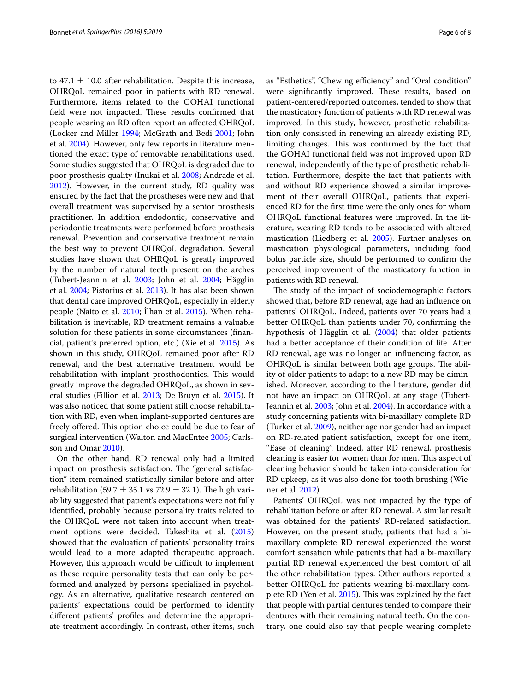to  $47.1 \pm 10.0$  after rehabilitation. Despite this increase, OHRQoL remained poor in patients with RD renewal. Furthermore, items related to the GOHAI functional field were not impacted. These results confirmed that people wearing an RD often report an affected OHRQoL (Locker and Miller [1994;](#page-6-2) McGrath and Bedi [2001;](#page-6-3) John et al. [2004\)](#page-6-4). However, only few reports in literature mentioned the exact type of removable rehabilitations used. Some studies suggested that OHRQoL is degraded due to poor prosthesis quality (Inukai et al. [2008;](#page-6-10) Andrade et al. [2012](#page-6-11)). However, in the current study, RD quality was ensured by the fact that the prostheses were new and that overall treatment was supervised by a senior prosthesis practitioner. In addition endodontic, conservative and periodontic treatments were performed before prosthesis renewal. Prevention and conservative treatment remain the best way to prevent OHRQoL degradation. Several studies have shown that OHRQoL is greatly improved by the number of natural teeth present on the arches (Tubert-Jeannin et al. [2003;](#page-7-8) John et al. [2004](#page-6-4); Hägglin et al. [2004;](#page-6-12) Pistorius et al. [2013\)](#page-7-4). It has also been shown that dental care improved OHRQoL, especially in elderly people (Naito et al. [2010](#page-6-13); İlhan et al. [2015](#page-6-14)). When rehabilitation is inevitable, RD treatment remains a valuable solution for these patients in some circumstances (financial, patient's preferred option, etc.) (Xie et al. [2015](#page-7-10)). As shown in this study, OHRQoL remained poor after RD renewal, and the best alternative treatment would be rehabilitation with implant prosthodontics. This would greatly improve the degraded OHRQoL, as shown in several studies (Fillion et al. [2013;](#page-6-15) De Bruyn et al. [2015](#page-6-16)). It was also noticed that some patient still choose rehabilitation with RD, even when implant-supported dentures are freely offered. This option choice could be due to fear of surgical intervention (Walton and MacEntee [2005;](#page-7-11) Carlsson and Omar [2010](#page-6-17)).

On the other hand, RD renewal only had a limited impact on prosthesis satisfaction. The "general satisfaction" item remained statistically similar before and after rehabilitation (59.7  $\pm$  35.1 vs 72.9  $\pm$  32.1). The high variability suggested that patient's expectations were not fully identified, probably because personality traits related to the OHRQoL were not taken into account when treatment options were decided. Takeshita et al. ([2015](#page-7-12)) showed that the evaluation of patients' personality traits would lead to a more adapted therapeutic approach. However, this approach would be difficult to implement as these require personality tests that can only be performed and analyzed by persons specialized in psychology. As an alternative, qualitative research centered on patients' expectations could be performed to identify different patients' profiles and determine the appropriate treatment accordingly. In contrast, other items, such as "Esthetics", "Chewing efficiency" and "Oral condition" were significantly improved. These results, based on patient-centered/reported outcomes, tended to show that the masticatory function of patients with RD renewal was improved. In this study, however, prosthetic rehabilitation only consisted in renewing an already existing RD, limiting changes. This was confirmed by the fact that the GOHAI functional field was not improved upon RD renewal, independently of the type of prosthetic rehabilitation. Furthermore, despite the fact that patients with and without RD experience showed a similar improvement of their overall OHRQoL, patients that experienced RD for the first time were the only ones for whom OHRQoL functional features were improved. In the literature, wearing RD tends to be associated with altered mastication (Liedberg et al. [2005](#page-6-18)). Further analyses on mastication physiological parameters, including food bolus particle size, should be performed to confirm the perceived improvement of the masticatory function in patients with RD renewal.

The study of the impact of sociodemographic factors showed that, before RD renewal, age had an influence on patients' OHRQoL. Indeed, patients over 70 years had a better OHRQoL than patients under 70, confirming the hypothesis of Hägglin et al. ([2004\)](#page-6-12) that older patients had a better acceptance of their condition of life. After RD renewal, age was no longer an influencing factor, as OHRQoL is similar between both age groups. The ability of older patients to adapt to a new RD may be diminished. Moreover, according to the literature, gender did not have an impact on OHRQoL at any stage (Tubert-Jeannin et al. [2003](#page-7-8); John et al. [2004](#page-6-4)). In accordance with a study concerning patients with bi-maxillary complete RD (Turker et al. [2009](#page-7-13)), neither age nor gender had an impact on RD-related patient satisfaction, except for one item, "Ease of cleaning". Indeed, after RD renewal, prosthesis cleaning is easier for women than for men. This aspect of cleaning behavior should be taken into consideration for RD upkeep, as it was also done for tooth brushing (Wiener et al. [2012\)](#page-7-14).

Patients' OHRQoL was not impacted by the type of rehabilitation before or after RD renewal. A similar result was obtained for the patients' RD-related satisfaction. However, on the present study, patients that had a bimaxillary complete RD renewal experienced the worst comfort sensation while patients that had a bi-maxillary partial RD renewal experienced the best comfort of all the other rehabilitation types. Other authors reported a better OHRQoL for patients wearing bi-maxillary complete RD (Yen et al. [2015\)](#page-7-6). This was explained by the fact that people with partial dentures tended to compare their dentures with their remaining natural teeth. On the contrary, one could also say that people wearing complete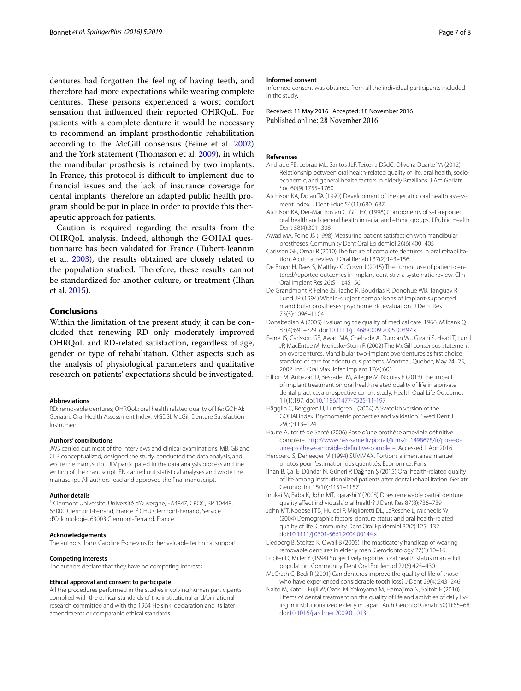dentures had forgotten the feeling of having teeth, and therefore had more expectations while wearing complete dentures. These persons experienced a worst comfort sensation that influenced their reported OHRQoL. For patients with a complete denture it would be necessary to recommend an implant prosthodontic rehabilitation according to the McGill consensus (Feine et al. [2002](#page-6-19)) and the York statement (Thomason et al. [2009\)](#page-7-15), in which the mandibular prosthesis is retained by two implants. In France, this protocol is difficult to implement due to financial issues and the lack of insurance coverage for dental implants, therefore an adapted public health program should be put in place in order to provide this therapeutic approach for patients.

Caution is required regarding the results from the OHRQoL analysis. Indeed, although the GOHAI questionnaire has been validated for France (Tubert-Jeannin et al. [2003](#page-7-8)), the results obtained are closely related to the population studied. Therefore, these results cannot be standardized for another culture, or treatment (İlhan et al. [2015\)](#page-6-14).

## **Conclusions**

Within the limitation of the present study, it can be concluded that renewing RD only moderately improved OHRQoL and RD-related satisfaction, regardless of age, gender or type of rehabilitation. Other aspects such as the analysis of physiological parameters and qualitative research on patients' expectations should be investigated.

#### **Abbreviations**

RD: removable dentures; OHRQoL: oral health related quality of life; GOHAI: Geriatric Oral Health Assessment Index; MGDSI: McGill Denture Satisfaction Instrument.

#### **Authors' contributions**

JWS carried out most of the interviews and clinical examinations. MB, GB and CLB conceptualized, designed the study, conducted the data analysis, and wrote the manuscript. JLV participated in the data analysis process and the writing of the manuscript. EN carried out statistical analyses and wrote the manuscript. All authors read and approved the final manuscript.

#### **Author details**

<sup>1</sup> Clermont Université, Université d'Auvergne, EA4847, CROC, BP 10448, 63000 Clermont‑Ferrand, France. <sup>2</sup> CHU Clermont‑Ferrand, Service d'Odontologie, 63003 Clermont‑Ferrand, France.

#### **Acknowledgements**

The authors thank Caroline Eschevins for her valuable technical support.

#### **Competing interests**

The authors declare that they have no competing interests.

#### **Ethical approval and consent to participate**

All the procedures performed in the studies involving human participants complied with the ethical standards of the institutional and/or national research committee and with the 1964 Helsinki declaration and its later amendments or comparable ethical standards.

#### **Informed consent**

Informed consent was obtained from all the individual participants included in the study.

Received: 11 May 2016 Accepted: 18 November 2016 Published online: 28 November 2016

## **References**

- <span id="page-6-11"></span>Andrade FB, Lebrao ML, Santos JLF, Teixeira DSdC, Oliveira Duarte YA (2012) Relationship between oral health-related quality of life, oral health, socioeconomic, and general health factors in elderly Brazilians. J Am Geriatr Soc 60(9):1755–1760
- <span id="page-6-6"></span>Atchison KA, Dolan TA (1990) Development of the geriatric oral health assessment index. J Dent Educ 54(11):680–687
- <span id="page-6-1"></span>Atchison KA, Der-Martirosian C, Gift HC (1998) Components of self-reported oral health and general health in racial and ethnic groups. J Public Health Dent 58(4):301–308
- <span id="page-6-8"></span>Awad MA, Feine JS (1998) Measuring patient satisfaction with mandibular prostheses. Community Dent Oral Epidemiol 26(6):400–405
- <span id="page-6-17"></span>Carlsson GE, Omar R (2010) The future of complete dentures in oral rehabilitation. A critical review. J Oral Rehabil 37(2):143–156
- <span id="page-6-16"></span>De Bruyn H, Raes S, Matthys C, Cosyn J (2015) The current use of patient-centered/reported outcomes in implant dentistry: a systematic review. Clin Oral Implant Res 26(S11):45–56
- <span id="page-6-7"></span>De Grandmont P, Feine JS, Tache R, Boudrias P, Donohue WB, Tanguay R, Lund JP (1994) Within-subject comparisons of implant-supported mandibular prostheses: psychometric evaluation. J Dent Res 73(5):1096–1104
- <span id="page-6-5"></span>Donabedian A (2005) Evaluating the quality of medical care. 1966. Milbank Q 83(4):691–729. doi:[10.1111/j.1468-0009.2005.00397.x](http://dx.doi.org/10.1111/j.1468-0009.2005.00397.x)
- <span id="page-6-19"></span>Feine JS, Carlsson GE, Awad MA, Chehade A, Duncan WJ, Gizani S, Head T, Lund JP, MacEntee M, Mericske-Stern R (2002) The McGill consensus statement on overdentures. Mandibular two-implant overdentures as first choice standard of care for edentulous patients. Montreal, Quebec, May 24–25, 2002. Int J Oral Maxillofac Implant 17(4):601
- <span id="page-6-15"></span>Fillion M, Aubazac D, Bessadet M, Allegre M, Nicolas E (2013) The impact of implant treatment on oral health related quality of life in a private dental practice: a prospective cohort study. Health Qual Life Outcomes 11(1):197. doi:[10.1186/1477-7525-11-197](http://dx.doi.org/10.1186/1477-7525-11-197)
- <span id="page-6-12"></span>Hägglin C, Berggren U, Lundgren J (2004) A Swedish version of the GOHAI index. Psychometric properties and validation. Swed Dent J 29(3):113–124

<span id="page-6-0"></span>Haute Autorité de Santé (2006) Pose d'une prothèse amovible définitive complète. [http://www.has-sante.fr/portail/jcms/r\\_1498678/fr/pose-d](http://www.has-sante.fr/portail/jcms/r_1498678/fr/pose-d-une-prothese-amovible-definitive-complete)[une-prothese-amovible-definitive-complete](http://www.has-sante.fr/portail/jcms/r_1498678/fr/pose-d-une-prothese-amovible-definitive-complete). Accessed 1 Apr 2016

- <span id="page-6-9"></span>Hercberg S, Deheeger M (1994) SUVIMAX, Portions alimentaires: manuel photos pour l'estimation des quantités. Economica, Paris
- <span id="page-6-14"></span>İlhan B, Çal E, Dündar N, Güneri P, Dağhan Ş (2015) Oral health-related quality of life among institutionalized patients after dental rehabilitation. Geriatr Gerontol Int 15(10):1151–1157
- <span id="page-6-10"></span>Inukai M, Baba K, John MT, Igarashi Y (2008) Does removable partial denture quality affect individuals' oral health? J Dent Res 87(8):736–739
- <span id="page-6-4"></span>John MT, Koepsell TD, Hujoel P, Miglioretti DL, LeResche L, Micheelis W (2004) Demographic factors, denture status and oral health-related quality of life. Community Dent Oral Epidemiol 32(2):125–132. doi:[10.1111/j.0301-5661.2004.00144.x](http://dx.doi.org/10.1111/j.0301-5661.2004.00144.x)
- <span id="page-6-18"></span>Liedberg B, Stoltze K, Owall B (2005) The masticatory handicap of wearing removable dentures in elderly men. Gerodontology 22(1):10–16
- <span id="page-6-2"></span>Locker D, Miller Y (1994) Subjectively reported oral health status in an adult population. Community Dent Oral Epidemiol 22(6):425–430
- <span id="page-6-3"></span>McGrath C, Bedi R (2001) Can dentures improve the quality of life of those who have experienced considerable tooth loss? J Dent 29(4):243–246
- <span id="page-6-13"></span>Naito M, Kato T, Fujii W, Ozeki M, Yokoyama M, Hamajima N, Saitoh E (2010) Effects of dental treatment on the quality of life and activities of daily living in institutionalized elderly in Japan. Arch Gerontol Geriatr 50(1):65–68. doi:[10.1016/j.archger.2009.01.013](http://dx.doi.org/10.1016/j.archger.2009.01.013)